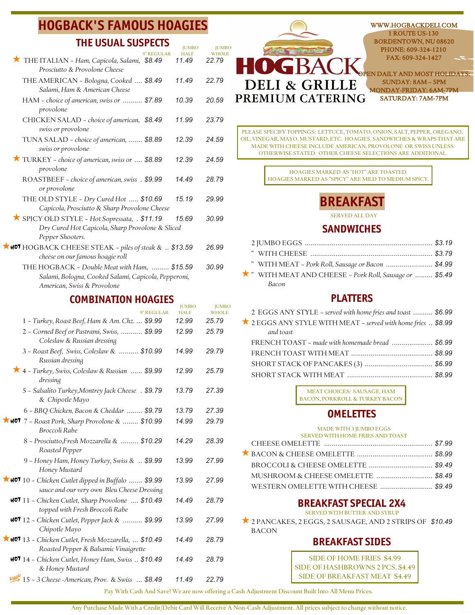# **HOGBACK'S FAMOUS HOAGIES**

### **THE USUAL SUSPECTS**

|                                                                                                                                     | <b>JUMBO</b>         | <b>JUMBO</b>          |
|-------------------------------------------------------------------------------------------------------------------------------------|----------------------|-----------------------|
| 9" REGULAR<br>THE ITALIAN - Ham, Capicola, Salami, \$8.49<br>Prosciutto & Provolone Cheese                                          | <b>HALF</b><br>11.49 | <b>WHOLE</b><br>22.79 |
| THE AMERICAN ~ Bologna, Cooked  \$8.49<br>Salami, Ham & American Cheese                                                             | 11.49                | 22.79                 |
| HAM - choice of american, swiss or  \$7.89<br>provolone                                                                             | 10.39                | 20.59                 |
| CHICKEN SALAD - choice of american, \$8.49<br>swiss or provolone                                                                    | 11.99                | 23.79                 |
| TUNA SALAD - choice of american,  \$8.89<br>swiss or provolone                                                                      | 12.39                | 24.59                 |
| TURKEY - choice of american, swiss or  \$8.89<br>provolone                                                                          | 12.39                | 24.59                 |
| ROASTBEEF - choice of american, swiss . \$9.99<br>or provolone                                                                      | 14.49                | 28.79                 |
| THE OLD STYLE - Dry Cured Hot  \$10.69<br>Capicola, Prosciutto & Sharp Provolone Cheese                                             | 15.19                | 29.99                 |
| SPICY OLD STYLE ~ Hot Sopressata, . \$11.19<br>Dry Cured Hot Capicola, Sharp Provolone & Sliced<br>Pepper Shooters.                 | 15.69                | 30.99                 |
| <b>KHOT</b> HOGBACK CHEESE STEAK ~ piles of steak &  \$13.59<br>cheese on our famous hoagie roll                                    |                      | 26.99                 |
| THE HOGBACK ~ Double Meat with Ham,  \$15.59<br>Salami, Bologna, Cooked Salami, Capicola, Pepperoni,<br>American, Swiss & Provolone |                      | 30.99                 |
| COMRINATION HOACIFS                                                                                                                 |                      |                       |

### **COMBINATION HOAGIES**

| 9" REGULAR                                                                                               | <b>JUMBO</b><br><b>HALF</b> | <b>JUMBO</b><br><b>WHOLE</b> |
|----------------------------------------------------------------------------------------------------------|-----------------------------|------------------------------|
| 1 - Turkey, Roast Beef, Ham & Am. Chz.  \$9.99                                                           | 12.99                       | 25.79                        |
| 2 - Corned Beef or Pastrami, Swiss,  \$9.99<br>Coleslaw & Russian dressing                               | 12.99                       | 25.79                        |
| 3 - Roast Beef, Swiss, Coleslaw &  \$10.99<br>Russian dressing                                           | 14.99                       | 29.79                        |
| * 4 - Turkey, Swiss, Coleslaw & Russian  \$9.99<br>dressing                                              | 12.99                       | 25.79                        |
| 5 - Salsalito Turkey, Montrey Jack Cheese . \$9.79<br>& Chipotle Mayo                                    | 13.79                       | 27.39                        |
| 6 - BBQ Chicken, Bacon & Cheddar  \$9.79                                                                 | 13.79                       | 27.39                        |
| $\star$ 407 7 - Roast Pork, Sharp Provolone &  \$10.99<br>Broccoli Rabe                                  | 14.99                       | 29.79                        |
| 8 - Prosciutto, Fresh Mozzarella &  \$10.29<br>Roasted Pepper                                            | 14.29                       | 28.39                        |
| 9 - Honey Ham, Honey Turkey, Swiss &  \$9.99<br>Honey Mustard                                            | 13.99                       | 27.99                        |
| $\star$ 407 10 - Chicken Cutlet dipped in Buffalo  \$9.99<br>sauce and our very own Bleu Cheese Dressing | 13.99                       | 27.99                        |
| HOT 11 - Chicken Cutlet, Sharp Provolone  \$10.49<br>topped with Fresh Broccoli Rabe                     | 14.49                       | 28.79                        |
| $\textsf{HOT}$ 12 – Chicken Cutlet, Pepper Jack &  \$9.99<br>Chipotle Mayo                               | 13.99                       | 27.99                        |
| $\star$ 407 13 - Chicken Cutlet, Fresh Mozzarella,  \$10.49<br>Roasted Pepper & Balsamic Vinaigrette     | 14.49                       | 28.79                        |
| HOT 14 - Chicken Cutlet, Honey Ham, Swiss  \$10.49<br>& Honey Mustard                                    | 14.49                       | 28.79                        |
| 15 - 3 Cheese - American, Prov. & Swiss  \$8.49                                                          | 11.49                       | 22.79                        |



PLEASE SPECIFY TOPPINGS: LETTUCE, TOMATO, ONION, SALT, PEPPER, OREGANO, OIL, VINEGAR, MAYO, MUSTARD, ETC. HOAGIES, SANDWICHES & WRAPS THAT ARE MADE WITH CHEESE INCLUDE AMERICAN, PROVOLONE OR SWISS UNLESS OTHERWISE STATED. OTHER CHEESE SELECTIONS ARE ADDITIONAL.

> HOAGIES MARKED AS "HOT" ARE TOASTED. HOAGIES MARKED AS "SPICY" ARE MILD TO MEDIUM SPICY.



SERVED ALL DAY

### **SANDWICHES**

|  | " WITH MEAT ~ Pork Roll, Sausage or Bacon  \$4.99    |  |
|--|------------------------------------------------------|--|
|  | WITH MEAT AND CHEESE ~ Pork Roll, Sausage or  \$5.49 |  |
|  | Bacon                                                |  |

### **PLATTERS**

| 2 EGGS ANY STYLE ~ served with home fries and toast  \$6.99   |  |
|---------------------------------------------------------------|--|
| ★ 2 EGGS ANY STYLE WITH MEAT ~ served with home fries  \$8.99 |  |
| and toast                                                     |  |
| FRENCH TOAST - made with homemade bread  \$6.99               |  |
|                                                               |  |
|                                                               |  |
|                                                               |  |
|                                                               |  |

MEAT CHOICES: SAUSAGE, HAM BACON, PORKROLL & TURKEY BACON

### **OMELETTES**

| MADE WITH 3 JUMBO EGGS               |  |
|--------------------------------------|--|
| SERVED WITH HOME FRIES AND TOAST     |  |
|                                      |  |
|                                      |  |
|                                      |  |
|                                      |  |
| WESTERN OMELETTE WITH CHEESE  \$9.49 |  |

## **BREAKFAST SPECIAL 2X4**

SERVED WITH BUTTER AND SYRUP

★ 2 PANCAKES, 2 EGGS, 2 SAUSAGE, AND 2 STRIPS OF \$10.49 BACON

## **BREAKFAST SIDES**

SIDE OF HOME FRIES \$4.99 SIDE OF HASHBROWNS 2 PCS. \$4.49 SIDE OF BREAKFAST MEAT \$4.49

Pay With Cash And Save! We are now offering a Cash Adjustment Discount Built Into All Menu Prices.

Any Purchase Made With a Credit/Debit Card Will Receive A Non-Cash Adjustment. All prices subject to change without notice.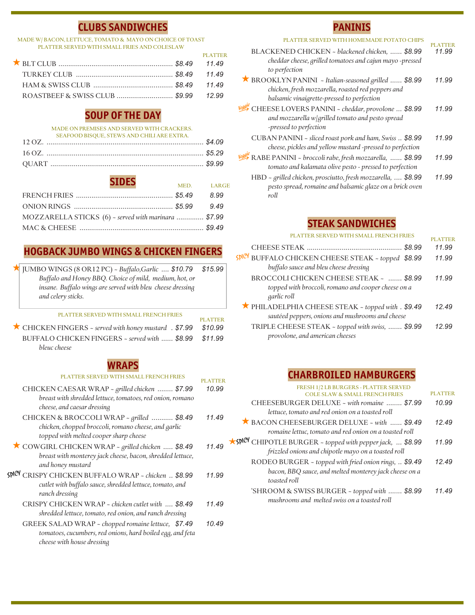## **CLUBS SANDIWCHES**

#### MADE W/ BACON, LETTUCE, TOMATO & MAYO ON CHOICE OF TOAST PLATTER SERVED WITH SMALL FRIES AND COLESLAW

| <b>PLATTER</b> |
|----------------|
|                |
|                |
|                |
|                |

## **SOUP OF THE DAY**

#### MADE ON PREMISES AND SERVED WITH CRACKERS. SEAFOOD BISQUE, STEWS AND CHILI ARE EXTRA.

| SEAFOOD BISOUE, STEWS AND CHILI ARE EXTRA.<br>SEAFOOD BISQUE, STEWS AND CHILI AKE EXTRA. |  |
|------------------------------------------------------------------------------------------|--|
|                                                                                          |  |
|                                                                                          |  |

| <b>SIDES</b>                                         |            |      |
|------------------------------------------------------|------------|------|
|                                                      | MED. LARGE |      |
|                                                      |            | 8.99 |
|                                                      |            |      |
| MOZZARELLA STICKS (6) ~ served with marinara  \$7.99 |            |      |
|                                                      |            |      |

# **HOGBACK JUMBO WINGS & CHICKEN FINGERS**

| TUMBO WINGS (8 OR12 PC) ~ Buffalo, Garlic  \$10.79         | \$15.99 |
|------------------------------------------------------------|---------|
| Buffalo and Honey BBQ. Choice of mild, medium, hot, or     |         |
| insane. Buffalo wings are served with bleu cheese dressing |         |
| and celery sticks.                                         |         |

#### PLATTER SERVED WITH SMALL FRENCH FRIES

| <u>TERNI LIBIN MEN VISI ZAWI LI LANVIZI RETINESIN ZI LISINTER E</u> | <b>PLATTER</b> |
|---------------------------------------------------------------------|----------------|
| CHICKEN FINGERS ~ served with honey mustard . \$7.99 \$10.99        |                |
| BUFFALO CHICKEN FINGERS ~ served with  \$8.99 \$11.99               |                |
| bleuc cheese                                                        |                |

### **WRAPS**

#### PLATTER SERVED WITH SMALL FRENCH FRIES

| <u>FLATTEN ƏENVED WITH ƏMALE FNEINCH FNIEƏ</u>                                                                                                 | PLATTER |
|------------------------------------------------------------------------------------------------------------------------------------------------|---------|
| CHICKEN CAESAR WRAP ~ grilled chicken  \$7.99<br>breast with shredded lettuce, tomatoes, red onion, romano<br>cheese, and caesar dressing      | 10.99   |
| CHICKEN & BROCCOLI WRAP ~ grilled  \$8.49<br>chicken, chopped broccoli, romano cheese, and garlic<br>topped with melted cooper sharp cheese    | 11.49   |
| COWGIRL CHICKEN WRAP - grilled chicken  \$8.49<br>breast with monterey jack cheese, bacon, shredded lettuce,<br>and honey mustard              | 11.49   |
| cdicy<br>CRISPY CHICKEN BUFFALO WRAP ~ chicken  \$8.99<br>cutlet with buffalo sauce, shredded lettuce, tomato, and<br>ranch dressing           | 11.99   |
| CRISPY CHICKEN WRAP ~ chicken cutlet with  \$8.49<br>shredded lettuce, tomato, red onion, and ranch dressing                                   | 11.49   |
| GREEK SALAD WRAP ~ chopped romaine lettuce, \$7.49<br>tomatoes, cucumbers, red onions, hard boiled egg, and feta<br>cheese with house dressing | 10.49   |

## **PANINIS**

| PLATTER SERVED<br>ITH HOMEMAD                                                                                                                            | PLATTER |
|----------------------------------------------------------------------------------------------------------------------------------------------------------|---------|
| BLACKENED CHICKEN - blackened chicken,  \$8.99<br>cheddar cheese, grilled tomatoes and cajun mayo -pressed<br>to perfection                              | 11.99   |
| * BROOKLYN PANINI ~ Italian-seasoned grilled  \$8.99<br>chicken, fresh mozzarella, roasted red peppers and<br>balsamic vinaigrette-pressed to perfection | 11.99   |
| CHEESE LOVERS PANINI ~ cheddar, provolone  \$8.99<br>and mozzarella w grilled tomato and pesto spread<br>-pressed to perfection                          | 11.99   |
| CUBAN PANINI ~ sliced roast pork and ham, Swiss  \$8.99<br>cheese, pickles and yellow mustard -pressed to perfection                                     | 11.99   |
| RABE PANINI ~ broccoli rabe, fresh mozzarella,  \$8.99<br>tomato and kalamata olive pesto - pressed to perfection                                        | 11.99   |
| HBD - grilled chicken, prosciutto, fresh mozzarella,  \$8.99<br>pesto spread, romaine and balsamic glaze on a brick oven                                 | 11.99   |

## **STEAK SANDWICHES**

*roll*

| PLATTER SERVED WITH SMALL FRENCH FRIES                                                                        | <b>PLATTER</b> |
|---------------------------------------------------------------------------------------------------------------|----------------|
|                                                                                                               | 11.99          |
| BUFFALO CHICKEN CHEESE STEAK ~ topped<br><b>KDICY</b><br>\$8.99<br>buffalo sauce and bleu cheese dressing     | 11.99          |
| BROCCOLI CHICKEN CHEESE STEAK ~  \$8.99<br>topped with broccoli, romano and cooper cheese on a<br>garlic roll | 11.99          |
| THILADELPHIA CHEESE STEAK ~ topped with . \$9.49<br>sautéed peppers, onions and mushrooms and cheese          | 12.49          |
| TRIPLE CHEESE STEAK ~ topped with swiss,  \$9.99<br>provolone, and american cheeses                           | 12.99          |

## **CHARBROILED HAMBURGERS**

| FRESH 1/2 LB BURGERS - PLATTER SERVED                                                                                           |         |
|---------------------------------------------------------------------------------------------------------------------------------|---------|
| <b>COLE SLAW &amp; SMALL FRENCH FRIES</b>                                                                                       | PLATTER |
| CHEESEBURGER DELUXE - with romaine  \$7.99                                                                                      | 10.99   |
| lettuce, tomato and red onion on a toasted roll                                                                                 |         |
| BACON CHEESEBURGER DELUXE ~ with  \$9.49<br>romaine lettuc, tomato and red onion on a toasted roll                              | 12.49   |
| ★ SPICY CHIPOTLE BURGER ~ topped with pepper jack,  \$8.99<br>frizzled onions and chipotle mayo on a toasted roll               | 11.99   |
| RODEO BURGER ~ topped with fried onion rings,  \$9.49<br>bacon, BBQ sauce, and melted monterey jack cheese on a<br>toasted roll | 1249    |
| 'SHROOM & SWISS BURGER ~ topped with  \$8.99<br>mushrooms and melted swiss on a toasted roll                                    | 11 49   |